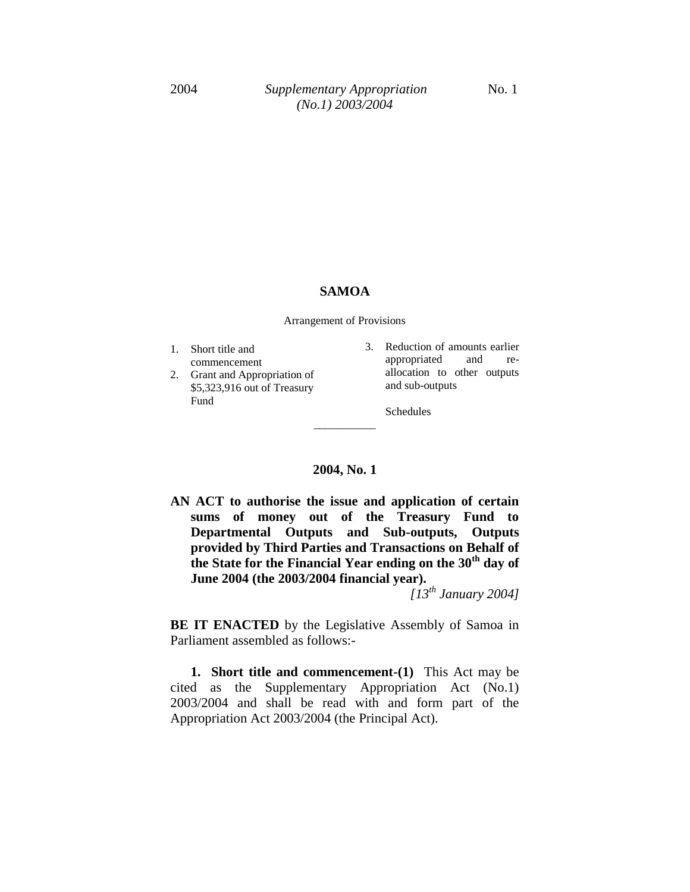#### **SAMOA**

Arrangement of Provisions

- 1. Short title and commencement
- 2. Grant and Appropriation of \$5,323,916 out of Treasury Fund
- 3. Reduction of amounts earlier appropriated and reallocation to other outputs and sub-outputs

Schedules

#### **2004, No. 1**

\_\_\_\_\_\_\_\_\_\_\_

**AN ACT to authorise the issue and application of certain sums of money out of the Treasury Fund to Departmental Outputs and Sub-outputs, Outputs provided by Third Parties and Transactions on Behalf of the State for the Financial Year ending on the 30th day of June 2004 (the 2003/2004 financial year).** 

*[13th January 2004]*

**BE IT ENACTED** by the Legislative Assembly of Samoa in Parliament assembled as follows:-

**1. Short title and commencement-(1)** This Act may be cited as the Supplementary Appropriation Act (No.1) 2003/2004 and shall be read with and form part of the Appropriation Act 2003/2004 (the Principal Act).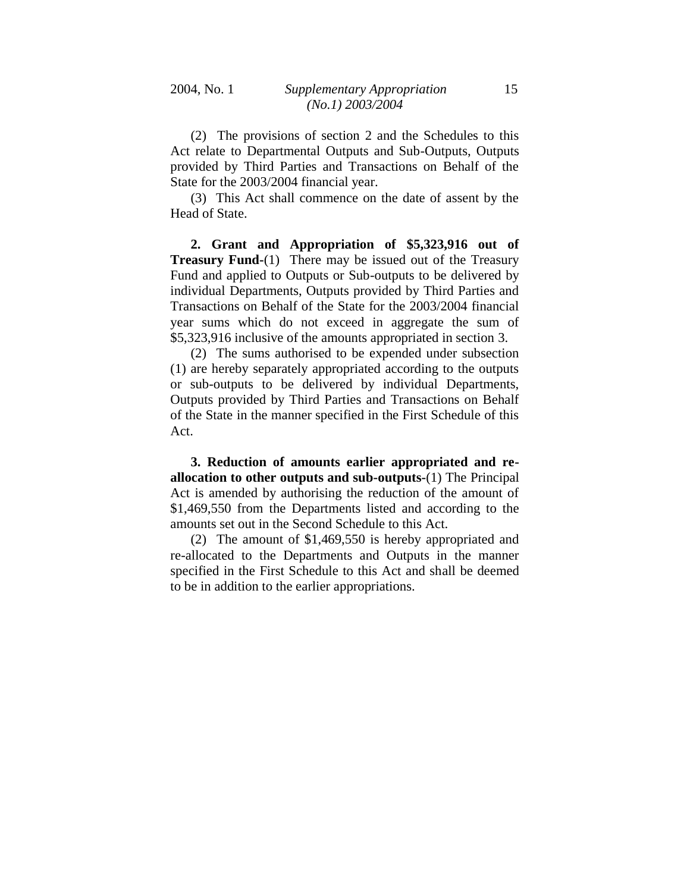(2) The provisions of section 2 and the Schedules to this Act relate to Departmental Outputs and Sub-Outputs, Outputs provided by Third Parties and Transactions on Behalf of the State for the 2003/2004 financial year.

(3) This Act shall commence on the date of assent by the Head of State.

**2. Grant and Appropriation of \$5,323,916 out of Treasury Fund-**(1) There may be issued out of the Treasury Fund and applied to Outputs or Sub-outputs to be delivered by individual Departments, Outputs provided by Third Parties and Transactions on Behalf of the State for the 2003/2004 financial year sums which do not exceed in aggregate the sum of \$5,323,916 inclusive of the amounts appropriated in section 3.

(2) The sums authorised to be expended under subsection (1) are hereby separately appropriated according to the outputs or sub-outputs to be delivered by individual Departments, Outputs provided by Third Parties and Transactions on Behalf of the State in the manner specified in the First Schedule of this Act.

**3. Reduction of amounts earlier appropriated and reallocation to other outputs and sub-outputs-**(1) The Principal Act is amended by authorising the reduction of the amount of \$1,469,550 from the Departments listed and according to the amounts set out in the Second Schedule to this Act.

(2) The amount of \$1,469,550 is hereby appropriated and re-allocated to the Departments and Outputs in the manner specified in the First Schedule to this Act and shall be deemed to be in addition to the earlier appropriations.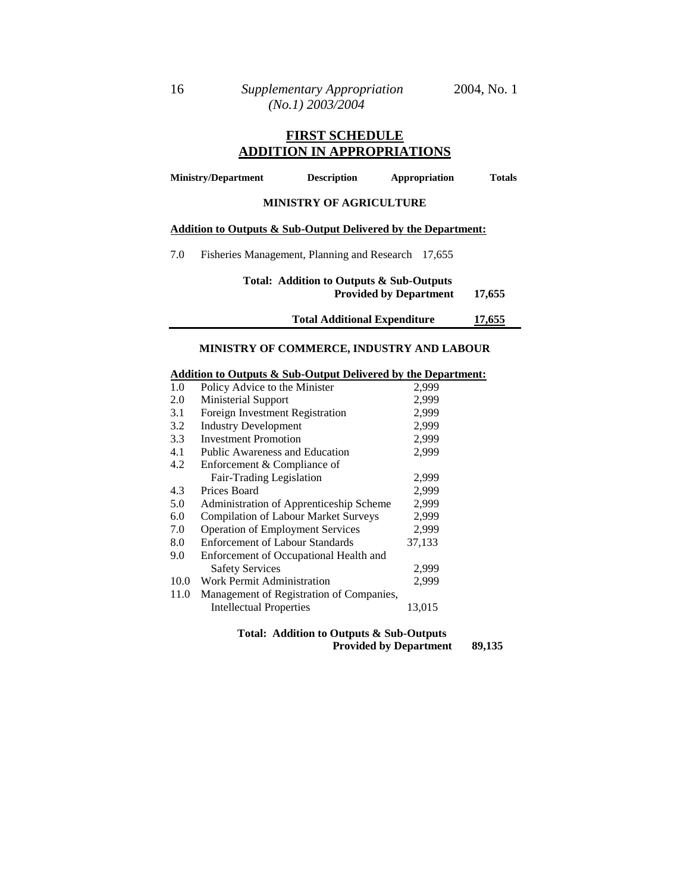# **FIRST SCHEDULE ADDITION IN APPROPRIATIONS**

| <b>Ministry/Department</b> |                                                    | <b>Description</b>             | Appropriation                                                 | <b>Totals</b> |
|----------------------------|----------------------------------------------------|--------------------------------|---------------------------------------------------------------|---------------|
|                            |                                                    | <b>MINISTRY OF AGRICULTURE</b> |                                                               |               |
|                            |                                                    |                                | Addition to Outputs & Sub-Output Delivered by the Department: |               |
| 7.0                        | Fisheries Management, Planning and Research 17,655 |                                |                                                               |               |

# **Total: Addition to Outputs & Sub-Outputs Provided by Department 17,655**

**Total Additional Expenditure 17,655**

## **MINISTRY OF COMMERCE, INDUSTRY AND LABOUR**

#### **Addition to Outputs & Sub-Output Delivered by the Department:**

| 1.0  | Policy Advice to the Minister               | 2,999  |
|------|---------------------------------------------|--------|
| 2.0  | Ministerial Support                         | 2,999  |
| 3.1  | Foreign Investment Registration             | 2,999  |
| 3.2  | <b>Industry Development</b>                 | 2,999  |
| 3.3  | Investment Promotion                        | 2,999  |
| 4.1  | Public Awareness and Education              | 2,999  |
| 4.2  | Enforcement & Compliance of                 |        |
|      | Fair-Trading Legislation                    | 2,999  |
| 4.3  | Prices Board                                | 2,999  |
| 5.0  | Administration of Apprenticeship Scheme     | 2,999  |
| 6.0  | <b>Compilation of Labour Market Surveys</b> | 2,999  |
| 7.0  | <b>Operation of Employment Services</b>     | 2,999  |
| 8.0  | <b>Enforcement of Labour Standards</b>      | 37,133 |
| 9.0  | Enforcement of Occupational Health and      |        |
|      | <b>Safety Services</b>                      | 2,999  |
| 10.0 | Work Permit Administration                  | 2,999  |
| 11.0 | Management of Registration of Companies,    |        |
|      | <b>Intellectual Properties</b>              | 13,015 |
|      |                                             |        |

| Total: Addition to Outputs & Sub-Outputs |        |
|------------------------------------------|--------|
| <b>Provided by Department</b>            | 89,135 |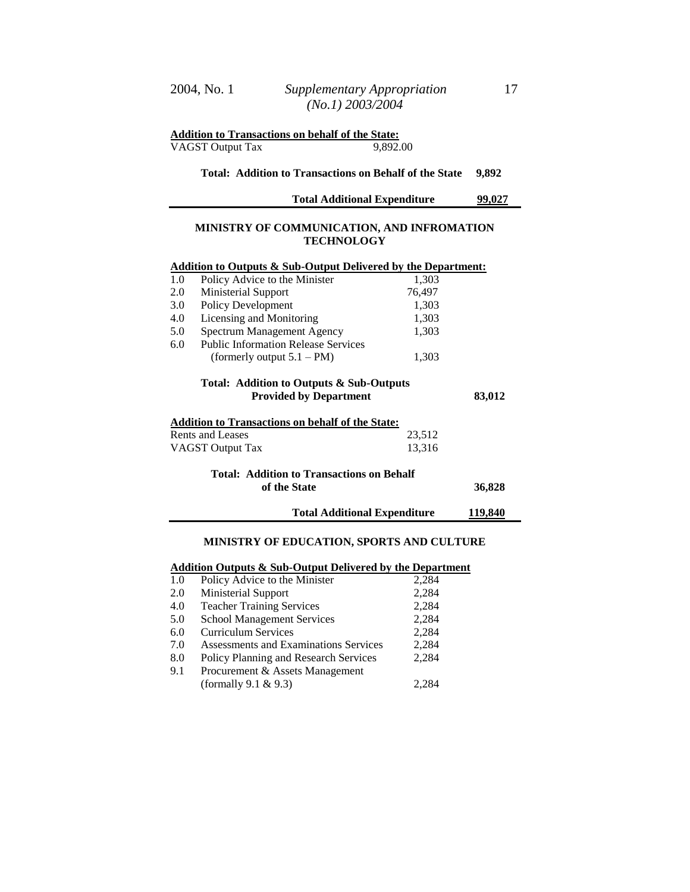| <b>Addition to Transactions on behalf of the State:</b> |          |
|---------------------------------------------------------|----------|
| VAGST Output Tax                                        | 9,892.00 |

#### **Total: Addition to Transactions on Behalf of the State 9,892**

| <b>Total Additional Expenditure</b> | 99,027 |
|-------------------------------------|--------|
|-------------------------------------|--------|

## **MINISTRY OF COMMUNICATION, AND INFROMATION TECHNOLOGY**

|     | Addition to Outputs & Sub-Output Delivered by the Department:             |        |         |
|-----|---------------------------------------------------------------------------|--------|---------|
| 1.0 | Policy Advice to the Minister                                             | 1,303  |         |
| 2.0 | Ministerial Support                                                       | 76,497 |         |
| 3.0 | Policy Development                                                        | 1,303  |         |
| 4.0 | Licensing and Monitoring                                                  | 1,303  |         |
| 5.0 | Spectrum Management Agency                                                | 1,303  |         |
| 6.0 | <b>Public Information Release Services</b>                                |        |         |
|     | (formerly output $5.1 - PM$ )                                             | 1,303  |         |
|     | Total: Addition to Outputs & Sub-Outputs<br><b>Provided by Department</b> |        | 83,012  |
|     | <b>Addition to Transactions on behalf of the State:</b>                   |        |         |
|     | Rents and Leases                                                          | 23,512 |         |
|     | VAGST Output Tax                                                          | 13,316 |         |
|     | <b>Total: Addition to Transactions on Behalf</b><br>of the State          |        | 36,828  |
|     | <b>Total Additional Expenditure</b>                                       |        | 119,840 |
|     |                                                                           |        |         |

#### **MINISTRY OF EDUCATION, SPORTS AND CULTURE**

#### **Addition Outputs & Sub-Output Delivered by the Department**

| 1.0 | Policy Advice to the Minister         | 2,284 |
|-----|---------------------------------------|-------|
| 2.0 | Ministerial Support                   | 2,284 |
| 4.0 | <b>Teacher Training Services</b>      | 2,284 |
| 5.0 | <b>School Management Services</b>     | 2,284 |
| 6.0 | <b>Curriculum Services</b>            | 2,284 |
| 7.0 | Assessments and Examinations Services | 2,284 |
| 8.0 | Policy Planning and Research Services | 2,284 |
| 9.1 | Procurement & Assets Management       |       |
|     | (formally $9.1 \& 9.3$ )              | 2,284 |
|     |                                       |       |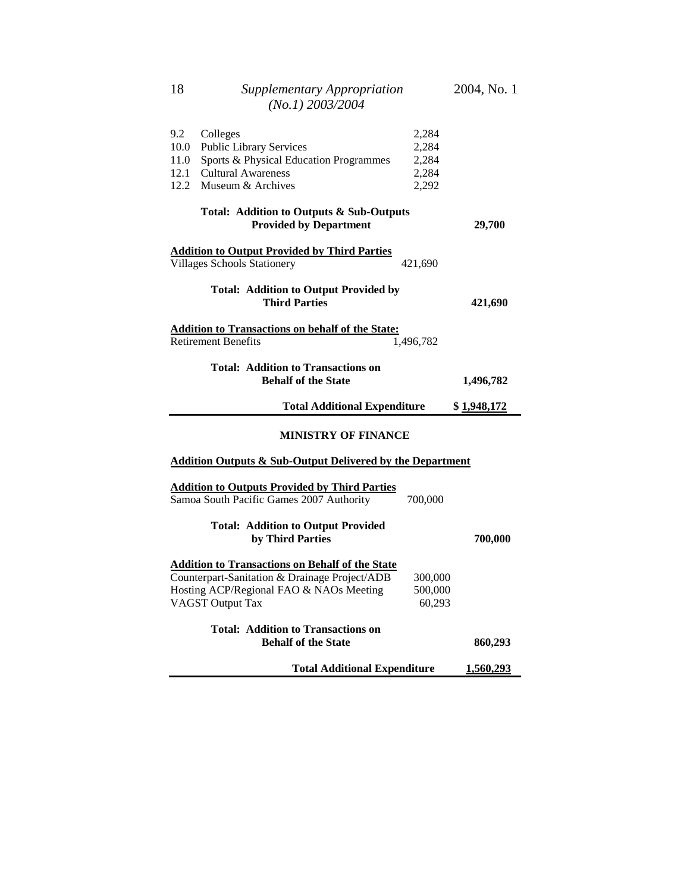| 9.2  | Colleges                                                                                                                                                                      | 2,284                        |             |  |  |  |
|------|-------------------------------------------------------------------------------------------------------------------------------------------------------------------------------|------------------------------|-------------|--|--|--|
| 10.0 | <b>Public Library Services</b>                                                                                                                                                | 2,284                        |             |  |  |  |
| 11.0 | Sports & Physical Education Programmes                                                                                                                                        | 2,284                        |             |  |  |  |
| 12.1 | <b>Cultural Awareness</b>                                                                                                                                                     | 2,284                        |             |  |  |  |
| 12.2 | Museum & Archives                                                                                                                                                             | 2,292                        |             |  |  |  |
|      | Total: Addition to Outputs & Sub-Outputs<br><b>Provided by Department</b>                                                                                                     |                              | 29,700      |  |  |  |
|      | <b>Addition to Output Provided by Third Parties</b>                                                                                                                           |                              |             |  |  |  |
|      | <b>Villages Schools Stationery</b>                                                                                                                                            | 421,690                      |             |  |  |  |
|      | <b>Total: Addition to Output Provided by</b><br><b>Third Parties</b>                                                                                                          |                              | 421,690     |  |  |  |
|      | <b>Addition to Transactions on behalf of the State:</b>                                                                                                                       |                              |             |  |  |  |
|      | <b>Retirement Benefits</b>                                                                                                                                                    | 1,496,782                    |             |  |  |  |
|      | <b>Total: Addition to Transactions on</b><br><b>Behalf of the State</b>                                                                                                       |                              | 1,496,782   |  |  |  |
|      | <b>Total Additional Expenditure</b>                                                                                                                                           |                              | \$1,948,172 |  |  |  |
|      | <b>MINISTRY OF FINANCE</b>                                                                                                                                                    |                              |             |  |  |  |
|      | <b>Addition Outputs &amp; Sub-Output Delivered by the Department</b>                                                                                                          |                              |             |  |  |  |
|      | <b>Addition to Outputs Provided by Third Parties</b><br>Samoa South Pacific Games 2007 Authority                                                                              | 700,000                      |             |  |  |  |
|      | <b>Total: Addition to Output Provided</b><br>by Third Parties                                                                                                                 |                              | 700,000     |  |  |  |
|      |                                                                                                                                                                               |                              |             |  |  |  |
|      | <b>Addition to Transactions on Behalf of the State</b><br>Counterpart-Sanitation & Drainage Project/ADB<br>Hosting ACP/Regional FAO & NAOs Meeting<br><b>VAGST Output Tax</b> | 300,000<br>500,000<br>60,293 |             |  |  |  |
|      | <b>Total: Addition to Transactions on</b><br><b>Behalf of the State</b>                                                                                                       |                              | 860,293     |  |  |  |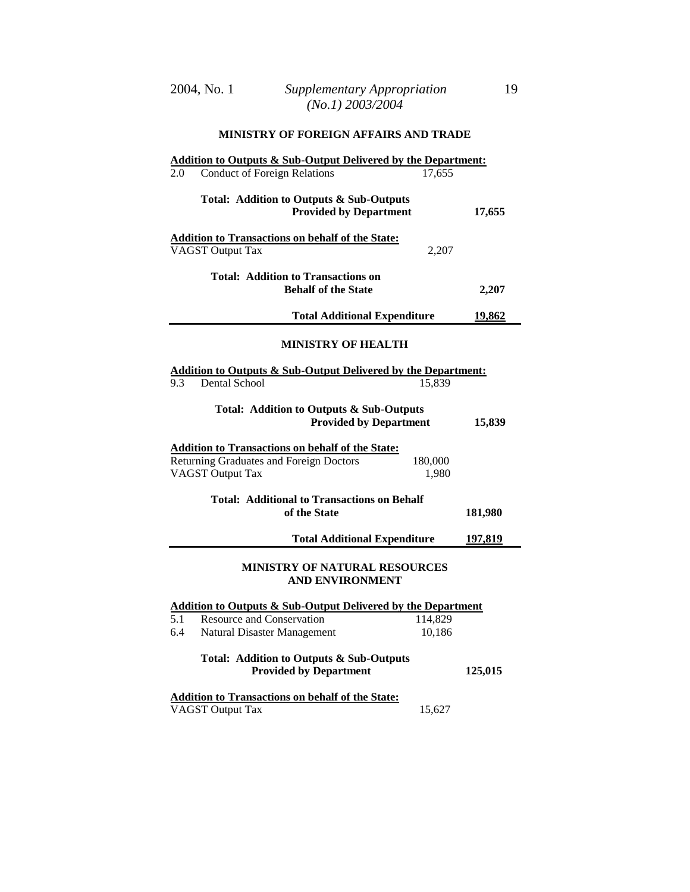# **Addition to Outputs & Sub-Output Delivered by the Department:** 2.0 Conduct of Foreign Relations 17,655 **Total: Addition to Outputs & Sub-Outputs**  Provided by Department 17,655 **Addition to Transactions on behalf of the State:** VAGST Output Tax 2,207 **Total: Addition to Transactions on Behalf of the State 2,207 Total Additional Expenditure 19,862 MINISTRY OF HEALTH Addition to Outputs & Sub-Output Delivered by the Department:** 9.3 Dental School 15,839 **Total: Addition to Outputs & Sub-Outputs Provided by Department 15,839 Addition to Transactions on behalf of the State:** Returning Graduates and Foreign Doctors 180,000 VAGST Output Tax 1,980 **Total: Additional to Transactions on Behalf of the State 181,980 Total Additional Expenditure 197,819 MINISTRY OF NATURAL RESOURCES AND ENVIRONMENT Addition to Outputs & Sub-Output Delivered by the Department** 5.1 Resource and Conservation 114,829 6.4 Natural Disaster Management 10,186 **Total: Addition to Outputs & Sub-Outputs** Provided by Department 125,015 **Addition to Transactions on behalf of the State:**

#### **MINISTRY OF FOREIGN AFFAIRS AND TRADE**

VAGST Output Tax 15,627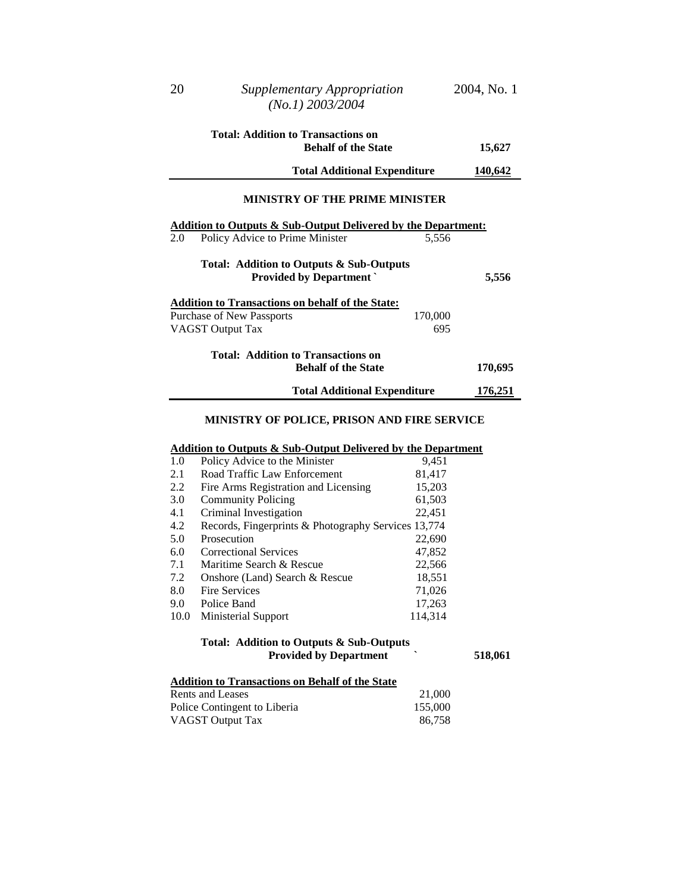| $(No.1)$ 2003/2004                                                              |         |
|---------------------------------------------------------------------------------|---------|
| Total: Addition to Transactions on                                              |         |
| <b>Behalf of the State</b>                                                      | 15,627  |
| <b>Total Additional Expenditure</b>                                             | 140,642 |
| <b>MINISTRY OF THE PRIME MINISTER</b>                                           |         |
| <u><b>Addition to Outputs &amp; Sub-Output Delivered by the Department:</b></u> |         |
| 2.0<br>Policy Advice to Prime Minister<br>5,556                                 |         |
| Total: Addition to Outputs & Sub-Outputs                                        |         |
| <b>Provided by Department</b>                                                   | 5,556   |
| Addition to Transactions on behalf of the State:                                |         |
| Purchase of New Passports<br>170,000                                            |         |
| VAGST Output Tax<br>695                                                         |         |
| Total: Addition to Transactions on                                              |         |
| <b>Behalf of the State</b>                                                      | 170,695 |
| <b>Total Additional Expenditure</b>                                             | 176,251 |

#### **MINISTRY OF POLICE, PRISON AND FIRE SERVICE**

# **Addition to Outputs & Sub-Output Delivered by the Department**

| 1.0  | Policy Advice to the Minister                       | 9,451   |
|------|-----------------------------------------------------|---------|
| 2.1  | Road Traffic Law Enforcement                        | 81,417  |
| 2.2  | Fire Arms Registration and Licensing                | 15,203  |
| 3.0  | <b>Community Policing</b>                           | 61,503  |
| 4.1  | Criminal Investigation                              | 22,451  |
| 4.2  | Records, Fingerprints & Photography Services 13,774 |         |
| 5.0  | Prosecution                                         | 22,690  |
| 6.0  | <b>Correctional Services</b>                        | 47,852  |
| 7.1  | Maritime Search & Rescue                            | 22,566  |
| 7.2  | Onshore (Land) Search & Rescue                      | 18,551  |
| 8.0  | <b>Fire Services</b>                                | 71,026  |
| 9.0  | Police Band                                         | 17,263  |
| 10.0 | Ministerial Support                                 | 114,314 |
|      |                                                     |         |

# **Total: Addition to Outputs & Sub-Outputs Provided by Department 1974** 518,061

# **Addition to Transactions on Behalf of the State**

| Rents and Leases             | 21,000  |
|------------------------------|---------|
| Police Contingent to Liberia | 155,000 |
| VAGST Output Tax             | 86,758  |

20 *Supplementary Appropriation* 2004, No. 1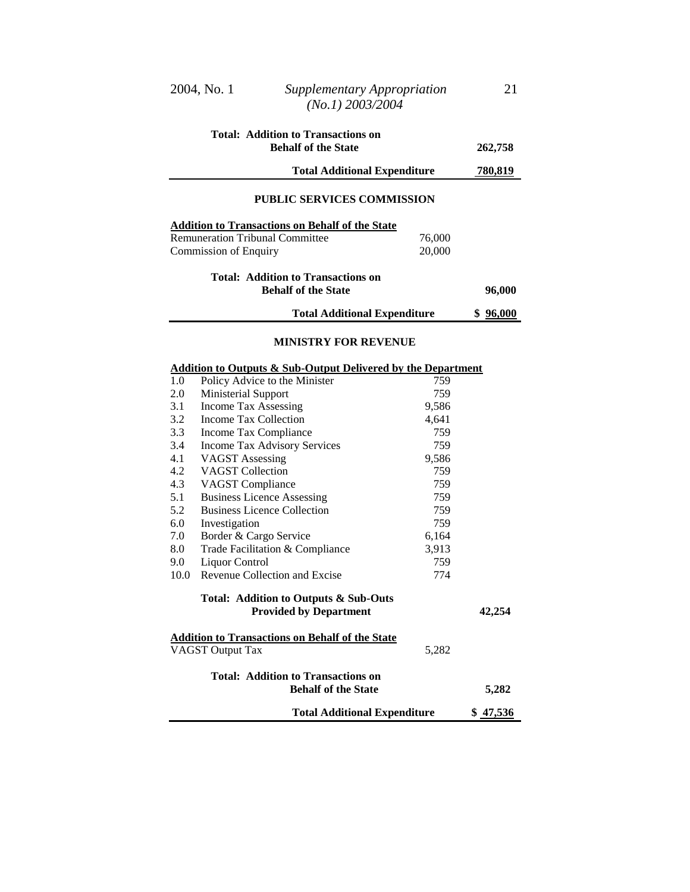|            | 2004, No. 1                  | <b>Supplementary Appropriation</b><br>$(No.1)$ 2003/2004                                         |                  | 21             |
|------------|------------------------------|--------------------------------------------------------------------------------------------------|------------------|----------------|
|            |                              | <b>Total: Addition to Transactions on</b><br><b>Behalf of the State</b>                          |                  | 262,758        |
|            |                              | <b>Total Additional Expenditure</b>                                                              |                  | <u>780,819</u> |
|            |                              | <b>PUBLIC SERVICES COMMISSION</b>                                                                |                  |                |
|            | <b>Commission of Enquiry</b> | <b>Addition to Transactions on Behalf of the State</b><br><b>Remuneration Tribunal Committee</b> | 76,000<br>20,000 |                |
|            |                              | <b>Total: Addition to Transactions on</b><br><b>Behalf of the State</b>                          |                  | 96,000         |
|            |                              | <b>Total Additional Expenditure</b>                                                              |                  | \$96,000       |
|            |                              | MINISTRY FOR REVENUE<br><b>Addition to Outputs &amp; Sub-Output Delivered by the Department</b>  |                  |                |
| 1.0        |                              | Policy Advice to the Minister                                                                    | 759              |                |
| 2.0        | <b>Ministerial Support</b>   |                                                                                                  | 759              |                |
| 3.1        | <b>Income Tax Assessing</b>  |                                                                                                  | 9,586            |                |
| 3.2<br>3.3 | Income Tax Collection        |                                                                                                  | 4,641<br>759     |                |
| 3.4        | Income Tax Compliance        | <b>Income Tax Advisory Services</b>                                                              | 759              |                |
| 4.1        | <b>VAGST</b> Assessing       |                                                                                                  | 9,586            |                |
| 4.2        | <b>VAGST</b> Collection      |                                                                                                  | 759              |                |
| 4.3        | <b>VAGST</b> Compliance      |                                                                                                  | 759              |                |
| 5.1        |                              | <b>Business Licence Assessing</b>                                                                | 759              |                |
| 5.2        |                              | <b>Business Licence Collection</b>                                                               | 759              |                |
| 6.0        | Investigation                |                                                                                                  | 759              |                |
| 7.0        | Border & Cargo Service       |                                                                                                  | 6,164            |                |
| 8.0        |                              | Trade Facilitation & Compliance                                                                  | 3,913            |                |
| 9.0        | Liquor Control               |                                                                                                  | 759              |                |
| 10.0       |                              | Revenue Collection and Excise                                                                    | 774              |                |
|            |                              | Total: Addition to Outputs & Sub-Outs<br><b>Provided by Department</b>                           |                  | 42,254         |
|            | <b>VAGST Output Tax</b>      | <b>Addition to Transactions on Behalf of the State</b>                                           | 5,282            |                |
|            |                              |                                                                                                  |                  |                |
|            |                              | <b>Total: Addition to Transactions on</b><br><b>Behalf of the State</b>                          |                  | 5,282          |
|            |                              | <b>Total Additional Expenditure</b>                                                              |                  | \$ 47,536      |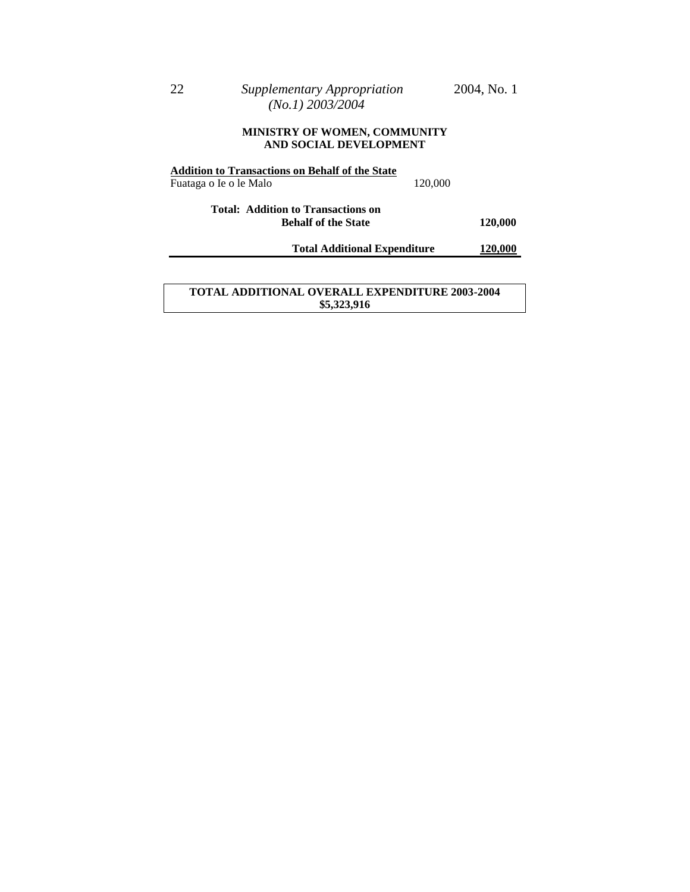#### **MINISTRY OF WOMEN, COMMUNITY AND SOCIAL DEVELOPMENT**

| <b>Addition to Transactions on Behalf of the State</b>           |                                     |         |
|------------------------------------------------------------------|-------------------------------------|---------|
| Fuataga o Ie o le Malo                                           | 120,000                             |         |
| Total: Addition to Transactions on<br><b>Behalf of the State</b> |                                     | 120,000 |
|                                                                  | <b>Total Additional Expenditure</b> | 120,000 |
|                                                                  |                                     |         |
|                                                                  |                                     |         |

## **TOTAL ADDITIONAL OVERALL EXPENDITURE 2003-2004 \$5,323,916**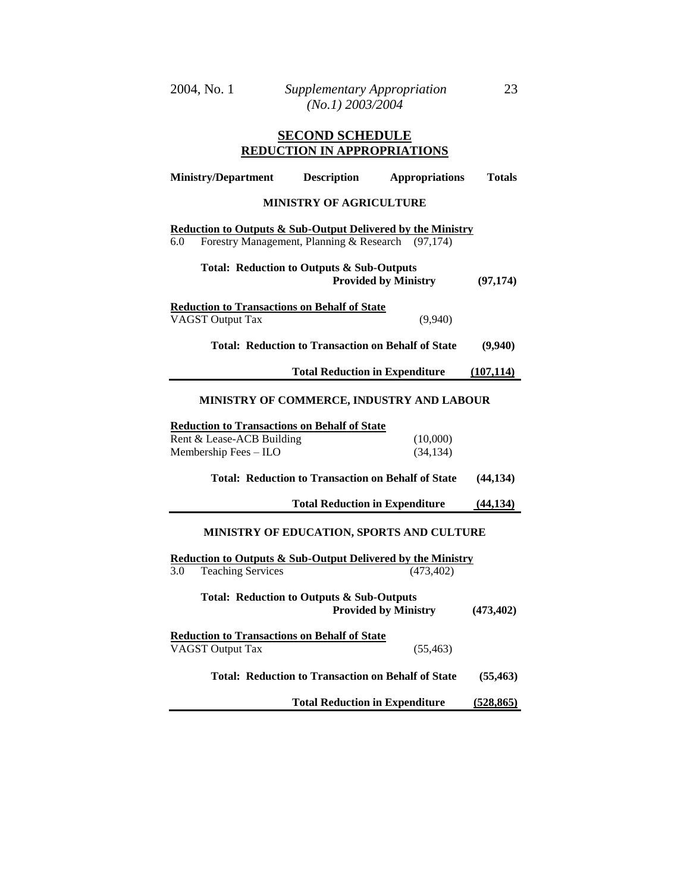| 2004, No. 1 | Supplementary Appropriation | 23 |
|-------------|-----------------------------|----|
|             | $(No.1)$ 2003/2004          |    |

# **SECOND SCHEDULE REDUCTION IN APPROPRIATIONS**

| <b>Ministry/Department</b>                                                                                                         | <b>Description</b>                                        | <b>Appropriations</b>       | Totals     |
|------------------------------------------------------------------------------------------------------------------------------------|-----------------------------------------------------------|-----------------------------|------------|
|                                                                                                                                    | <b>MINISTRY OF AGRICULTURE</b>                            |                             |            |
| <b>Reduction to Outputs &amp; Sub-Output Delivered by the Ministry</b><br>Forestry Management, Planning & Research (97,174)<br>6.0 |                                                           |                             |            |
| Total: Reduction to Outputs & Sub-Outputs                                                                                          |                                                           | <b>Provided by Ministry</b> | (97, 174)  |
| <b>Reduction to Transactions on Behalf of State</b><br><b>VAGST Output Tax</b>                                                     |                                                           | (9,940)                     |            |
|                                                                                                                                    | <b>Total: Reduction to Transaction on Behalf of State</b> |                             | (9,940)    |
|                                                                                                                                    | <b>Total Reduction in Expenditure</b>                     |                             | (107, 114) |
| MINISTRY OF COMMERCE, INDUSTRY AND LABOUR                                                                                          |                                                           |                             |            |
| <b>Reduction to Transactions on Behalf of State</b><br>Rent & Lease-ACB Building<br>Membership Fees - ILO                          |                                                           | (10,000)<br>(34, 134)       |            |
|                                                                                                                                    | <b>Total: Reduction to Transaction on Behalf of State</b> |                             | (44, 134)  |
|                                                                                                                                    | <b>Total Reduction in Expenditure</b>                     |                             | (44, 134)  |
| MINISTRY OF EDUCATION, SPORTS AND CULTURE                                                                                          |                                                           |                             |            |
| <b>Reduction to Outputs &amp; Sub-Output Delivered by the Ministry</b>                                                             |                                                           |                             |            |
| $3.0\,$<br><b>Teaching Services</b>                                                                                                |                                                           | (473, 402)                  |            |
| <b>Total: Reduction to Outputs &amp; Sub-Outputs</b>                                                                               |                                                           | <b>Provided by Ministry</b> | (473, 402) |
| <b>Reduction to Transactions on Behalf of State</b><br><b>VAGST Output Tax</b>                                                     |                                                           | (55, 463)                   |            |
|                                                                                                                                    | <b>Total: Reduction to Transaction on Behalf of State</b> |                             | (55, 463)  |
|                                                                                                                                    | <b>Total Reduction in Expenditure</b>                     |                             | (528, 865) |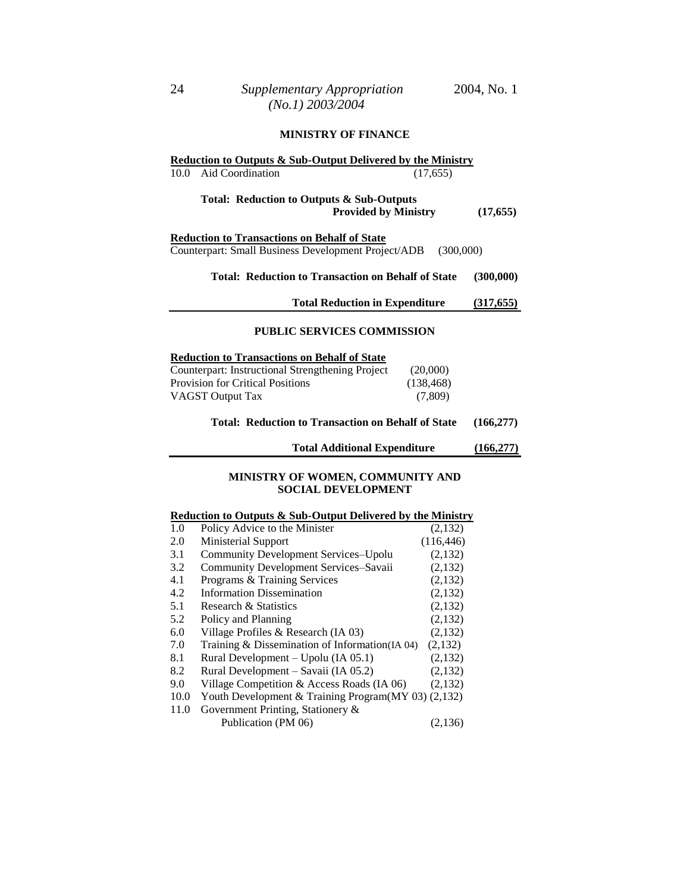#### **MINISTRY OF FINANCE**

|                                                                                                                         | <b>Reduction to Outputs &amp; Sub-Output Delivered by the Ministry</b> |            |
|-------------------------------------------------------------------------------------------------------------------------|------------------------------------------------------------------------|------------|
| Aid Coordination<br>10.0                                                                                                | (17,655)                                                               |            |
|                                                                                                                         | Total: Reduction to Outputs & Sub-Outputs                              |            |
|                                                                                                                         | <b>Provided by Ministry</b>                                            | (17, 655)  |
| <b>Reduction to Transactions on Behalf of State</b><br>Counterpart: Small Business Development Project/ADB<br>(300,000) |                                                                        |            |
|                                                                                                                         | <b>Total: Reduction to Transaction on Behalf of State</b>              | (300,000)  |
|                                                                                                                         | <b>Total Reduction in Expenditure</b>                                  | (317, 655) |
|                                                                                                                         | <b>PUBLIC SERVICES COMMISSION</b>                                      |            |
| <b>Reduction to Transactions on Behalf of State</b>                                                                     |                                                                        |            |
| <b>Counterpart: Instructional Strengthening Project</b>                                                                 | (20,000)                                                               |            |
| <b>Provision for Critical Positions</b>                                                                                 | (138, 468)                                                             |            |
| <b>VAGST Output Tax</b>                                                                                                 | (7,809)                                                                |            |
|                                                                                                                         | <b>Total: Reduction to Transaction on Behalf of State</b>              | (166, 277) |
|                                                                                                                         | <b>Total Additional Expenditure</b>                                    | (166, 277) |

## **MINISTRY OF WOMEN, COMMUNITY AND SOCIAL DEVELOPMENT**

# **Reduction to Outputs & Sub-Output Delivered by the Ministry**

| 1.0  | Policy Advice to the Minister                       | (2,132)    |
|------|-----------------------------------------------------|------------|
| 2.0  | Ministerial Support                                 | (116, 446) |
| 3.1  | <b>Community Development Services-Upolu</b>         | (2,132)    |
| 3.2  | Community Development Services-Savaii               | (2,132)    |
| 4.1  | Programs & Training Services                        | (2,132)    |
| 4.2  | <b>Information Dissemination</b>                    | (2,132)    |
| 5.1  | Research & Statistics                               | (2,132)    |
| 5.2  | Policy and Planning                                 | (2,132)    |
| 6.0  | Village Profiles & Research (IA 03)                 | (2,132)    |
| 7.0  | Training $& Dissemination of Information (IA 04)$   | (2,132)    |
| 8.1  | Rural Development – Upolu (IA 05.1)                 | (2,132)    |
| 8.2  | Rural Development – Savaii (IA 05.2)                | (2,132)    |
| 9.0  | Village Competition & Access Roads (IA 06)          | (2,132)    |
| 10.0 | Youth Development & Training Program(MY 03) (2,132) |            |
| 11.0 | Government Printing, Stationery &                   |            |
|      | Publication (PM 06)                                 | (2,136)    |